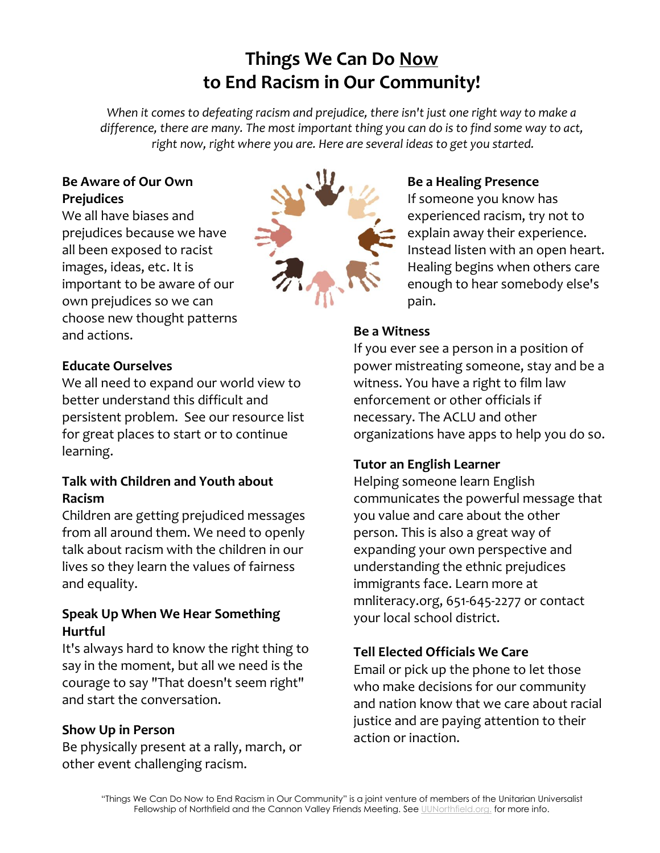# **Things We Can Do Now to End Racism in Our Community!**

*When it comes to defeating racism and prejudice, there isn't just one right way to make a difference, there are many. The most important thing you can do is to find some way to act, right now, right where you are. Here are several ideas to get you started.*

#### **Be Aware of Our Own Prejudices**

We all have biases and prejudices because we have all been exposed to racist images, ideas, etc. It is important to be aware of our own prejudices so we can choose new thought patterns and actions.



### **Be a Healing Presence**

If someone you know has experienced racism, try not to explain away their experience. Instead listen with an open heart. Healing begins when others care enough to hear somebody else's pain.

#### **Be a Witness**

If you ever see a person in a position of power mistreating someone, stay and be a witness. You have a right to film law enforcement or other officials if necessary. The ACLU and other organizations have apps to help you do so.

# **Tutor an English Learner**

Helping someone learn English communicates the powerful message that you value and care about the other person. This is also a great way of expanding your own perspective and understanding the ethnic prejudices immigrants face. Learn more at mnliteracy.org, 651-645-2277 or contact your local school district.

# **Tell Elected Officials We Care**

Email or pick up the phone to let those who make decisions for our community and nation know that we care about racial justice and are paying attention to their action or inaction.

## **Educate Ourselves**

We all need to expand our world view to better understand this difficult and persistent problem. See our resource list for great places to start or to continue learning.

#### **Talk with Children and Youth about Racism**

Children are getting prejudiced messages from all around them. We need to openly talk about racism with the children in our lives so they learn the values of fairness and equality.

#### **Speak Up When We Hear Something Hurtful**

It's always hard to know the right thing to say in the moment, but all we need is the courage to say "That doesn't seem right" and start the conversation.

#### **Show Up in Person**

Be physically present at a rally, march, or other event challenging racism.

> "Things We Can Do Now to End Racism in Our Community" is a joint venture of members of the Unitarian Universalist Fellowship of Northfield and the Cannon Valley Friends Meeting. See UUNorthfield.org. for more info.